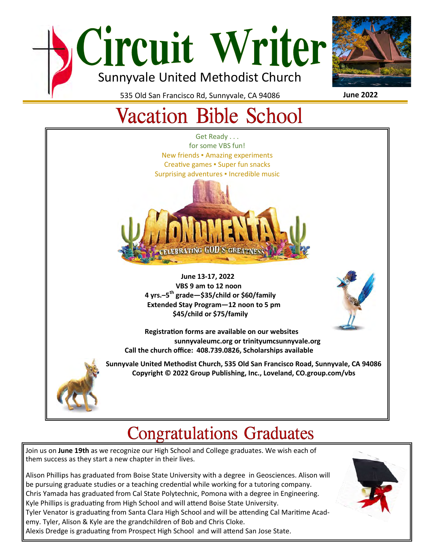



535 Old San Francisco Rd, Sunnyvale, CA 94086

#### **June 2022**

# **Vacation Bible School**



# **Congratulations Graduates**

Join us on **June 19th** as we recognize our High School and College graduates. We wish each of them success as they start a new chapter in their lives.

Alison Phillips has graduated from Boise State University with a degree in Geosciences. Alison will be pursuing graduate studies or a teaching credential while working for a tutoring company. Chris Yamada has graduated from Cal State Polytechnic, Pomona with a degree in Engineering. Kyle Phillips is graduating from High School and will attend Boise State University. Tyler Venator is graduating from Santa Clara High School and will be attending Cal Maritime Academy. Tyler, Alison & Kyle are the grandchildren of Bob and Chris Cloke. Alexis Dredge is graduating from Prospect High School and will attend San Jose State.

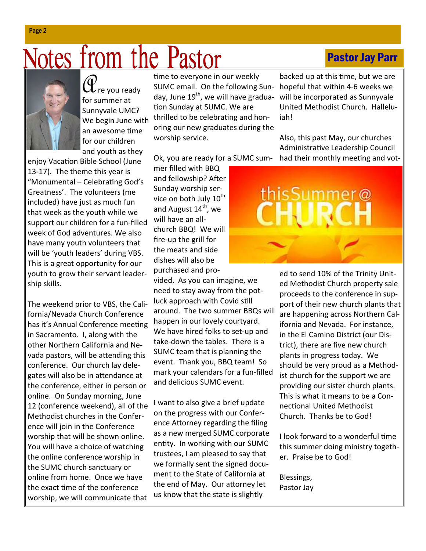# Motes from the Pastor

for summer at Sunnyvale UMC? We begin June with an awesome time for our children and youth as they

enjoy Vacation Bible School (June 13-17). The theme this year is "Monumental – Celebrating God's Greatness'. The volunteers (me included) have just as much fun that week as the youth while we support our children for a fun-filled week of God adventures. We also have many youth volunteers that will be 'youth leaders' during VBS. This is a great opportunity for our youth to grow their servant leadership skills.

The weekend prior to VBS, the California/Nevada Church Conference has it's Annual Conference meeting in Sacramento. I, along with the other Northern California and Nevada pastors, will be attending this conference. Our church lay delegates will also be in attendance at the conference, either in person or online. On Sunday morning, June 12 (conference weekend), all of the Methodist churches in the Conference will join in the Conference worship that will be shown online. You will have a choice of watching the online conference worship in the SUMC church sanctuary or online from home. Once we have the exact time of the conference worship, we will communicate that

time to everyone in our weekly SUMC email. On the following Sunday, June  $19<sup>th</sup>$ , we will have graduation Sunday at SUMC. We are thrilled to be celebrating and honoring our new graduates during the worship service.

Ok, you are ready for a SUMC sum-

mer filled with BBQ and fellowship? After Sunday worship service on both July 10<sup>th</sup> and August  $14<sup>th</sup>$ , we will have an allchurch BBQ! We will fire-up the grill for the meats and side dishes will also be purchased and pro-

vided. As you can imagine, we need to stay away from the potluck approach with Covid still around. The two summer BBQs will happen in our lovely courtyard. We have hired folks to set-up and take-down the tables. There is a SUMC team that is planning the event. Thank you, BBQ team! So mark your calendars for a fun-filled and delicious SUMC event.

I want to also give a brief update on the progress with our Conference Attorney regarding the filing as a new merged SUMC corporate entity. In working with our SUMC trustees, I am pleased to say that we formally sent the signed document to the State of California at the end of May. Our attorney let us know that the state is slightly

backed up at this time, but we are hopeful that within 4-6 weeks we will be incorporated as Sunnyvale United Methodist Church. Halleluiah!

Pastor Jay Parr

Also, this past May, our churches Administrative Leadership Council had their monthly meeting and vot-

ed to send 10% of the Trinity United Methodist Church property sale proceeds to the conference in support of their new church plants that are happening across Northern California and Nevada. For instance, in the El Camino District (our District), there are five new church plants in progress today. We should be very proud as a Methodist church for the support we are providing our sister church plants. This is what it means to be a Connectional United Methodist Church. Thanks be to God!

I look forward to a wonderful time this summer doing ministry together. Praise be to God!

Blessings, Pastor Jay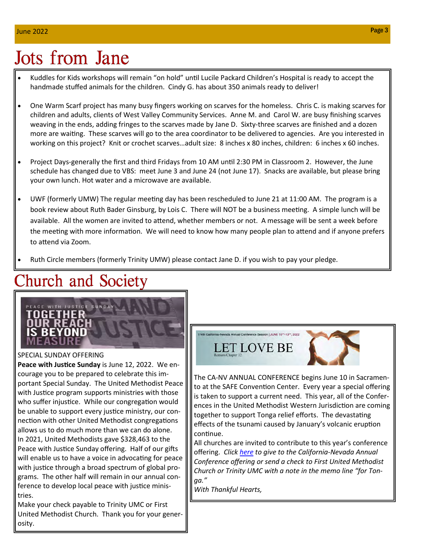# **Jots from Jane**

- Kuddles for Kids workshops will remain "on hold" until Lucile Packard Children's Hospital is ready to accept the handmade stuffed animals for the children. Cindy G. has about 350 animals ready to deliver!
- One Warm Scarf project has many busy fingers working on scarves for the homeless. Chris C. is making scarves for children and adults, clients of West Valley Community Services. Anne M. and Carol W. are busy finishing scarves weaving in the ends, adding fringes to the scarves made by Jane D. Sixty-three scarves are finished and a dozen more are waiting. These scarves will go to the area coordinator to be delivered to agencies. Are you interested in working on this project? Knit or crochet scarves…adult size: 8 inches x 80 inches, children: 6 inches x 60 inches.
- Project Days-generally the first and third Fridays from 10 AM until 2:30 PM in Classroom 2. However, the June schedule has changed due to VBS: meet June 3 and June 24 (not June 17). Snacks are available, but please bring your own lunch. Hot water and a microwave are available.
- UWF (formerly UMW) The regular meeting day has been rescheduled to June 21 at 11:00 AM. The program is a book review about Ruth Bader Ginsburg, by Lois C. There will NOT be a business meeting. A simple lunch will be available. All the women are invited to attend, whether members or not. A message will be sent a week before the meeting with more information. We will need to know how many people plan to attend and if anyone prefers to attend via Zoom.
- Ruth Circle members (formerly Trinity UMW) please contact Jane D. if you wish to pay your pledge.

## **Church and Society**



#### SPECIAL SUNDAY OFFERING

Peace with Justice Sunday is June 12, 2022. We encourage you to be prepared to celebrate this important Special Sunday. The United Methodist Peace with Justice program supports ministries with those who suffer injustice. While our congregation would be unable to support every justice ministry, our connection with other United Methodist congregations allows us to do much more than we can do alone. In 2021, United Methodists gave \$328,463 to the Peace with Justice Sunday offering. Half of our gifts will enable us to have a voice in advocating for peace with justice through a broad spectrum of global programs. The other half will remain in our annual conference to develop local peace with justice ministries.

Make your check payable to Trinity UMC or First United Methodist Church. Thank you for your generosity.



The CA-NV ANNUAL CONFERENCE begins June 10 in Sacramento at the SAFE Convention Center. Every year a special offering is taken to support a current need. This year, all of the Conferences in the United Methodist Western Jurisdiction are coming together to support Tonga relief efforts. The devastating effects of the tsunami caused by January's volcanic eruption continue.

All churches are invited to contribute to this year's conference offering. *Click here to give to the California-Nevada Annual Conference offering or send a check to First United Methodist Church or Trinity UMC with a note in the memo line "for Tonga."* 

*With Thankful Hearts,*